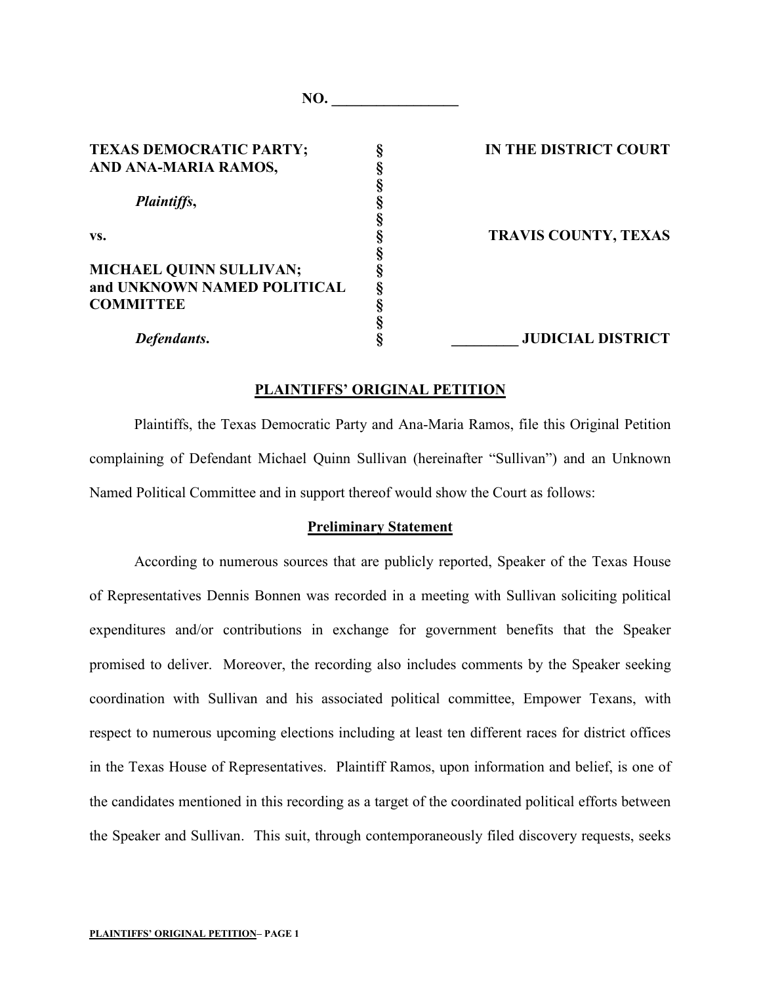| <b>TEXAS DEMOCRATIC PARTY;</b> | IN THE DISTRICT COURT       |
|--------------------------------|-----------------------------|
| AND ANA-MARIA RAMOS,           |                             |
|                                |                             |
| <i>Plaintiffs,</i>             |                             |
|                                |                             |
| VS.                            | <b>TRAVIS COUNTY, TEXAS</b> |
|                                |                             |
| MICHAEL QUINN SULLIVAN;        |                             |
| and UNKNOWN NAMED POLITICAL    |                             |
| <b>COMMITTEE</b>               |                             |
|                                |                             |
| Defendants.                    | <b>JUDICIAL DISTRICT</b>    |
|                                |                             |

**NO.** 

#### **PLAINTIFFS' ORIGINAL PETITION**

Plaintiffs, the Texas Democratic Party and Ana-Maria Ramos, file this Original Petition complaining of Defendant Michael Quinn Sullivan (hereinafter "Sullivan") and an Unknown Named Political Committee and in support thereof would show the Court as follows:

#### **Preliminary Statement**

According to numerous sources that are publicly reported, Speaker of the Texas House of Representatives Dennis Bonnen was recorded in a meeting with Sullivan soliciting political expenditures and/or contributions in exchange for government benefits that the Speaker promised to deliver. Moreover, the recording also includes comments by the Speaker seeking coordination with Sullivan and his associated political committee, Empower Texans, with respect to numerous upcoming elections including at least ten different races for district offices in the Texas House of Representatives. Plaintiff Ramos, upon information and belief, is one of the candidates mentioned in this recording as a target of the coordinated political efforts between the Speaker and Sullivan. This suit, through contemporaneously filed discovery requests, seeks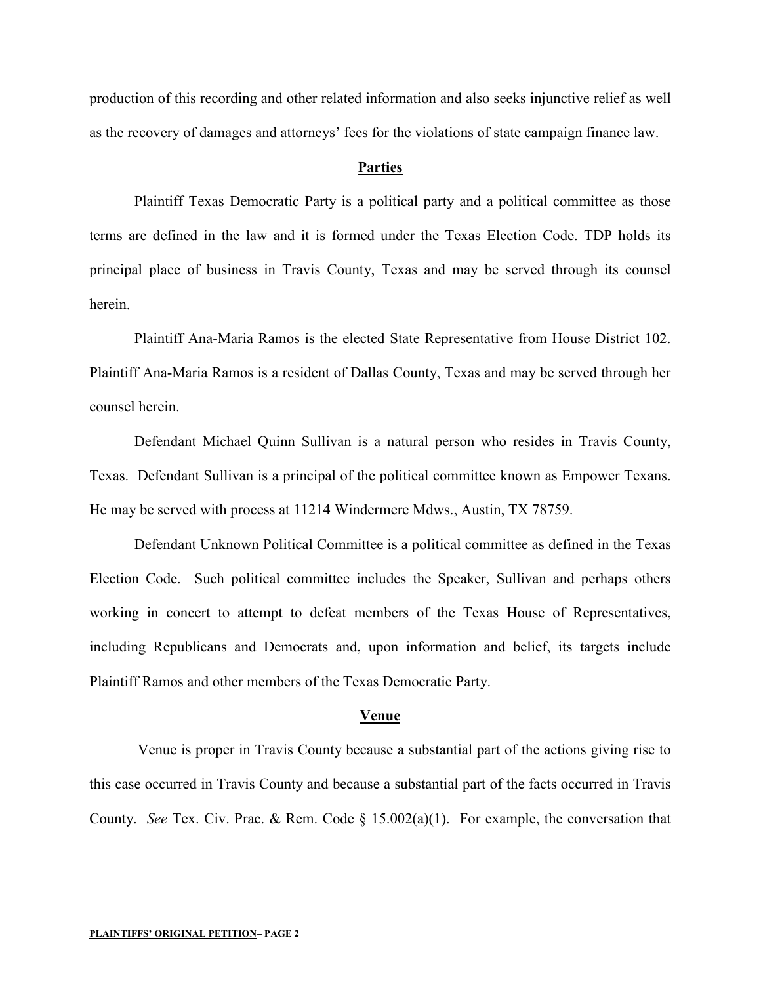production of this recording and other related information and also seeks injunctive relief as well as the recovery of damages and attorneys' fees for the violations of state campaign finance law.

#### **Parties**

Plaintiff Texas Democratic Party is a political party and a political committee as those terms are defined in the law and it is formed under the Texas Election Code. TDP holds its principal place of business in Travis County, Texas and may be served through its counsel herein.

Plaintiff Ana-Maria Ramos is the elected State Representative from House District 102. Plaintiff Ana-Maria Ramos is a resident of Dallas County, Texas and may be served through her counsel herein.

Defendant Michael Quinn Sullivan is a natural person who resides in Travis County, Texas. Defendant Sullivan is a principal of the political committee known as Empower Texans. He may be served with process at 11214 Windermere Mdws., Austin, TX 78759.

Defendant Unknown Political Committee is a political committee as defined in the Texas Election Code. Such political committee includes the Speaker, Sullivan and perhaps others working in concert to attempt to defeat members of the Texas House of Representatives, including Republicans and Democrats and, upon information and belief, its targets include Plaintiff Ramos and other members of the Texas Democratic Party.

#### **Venue**

Venue is proper in Travis County because a substantial part of the actions giving rise to this case occurred in Travis County and because a substantial part of the facts occurred in Travis County. *See* Tex. Civ. Prac. & Rem. Code § 15.002(a)(1). For example, the conversation that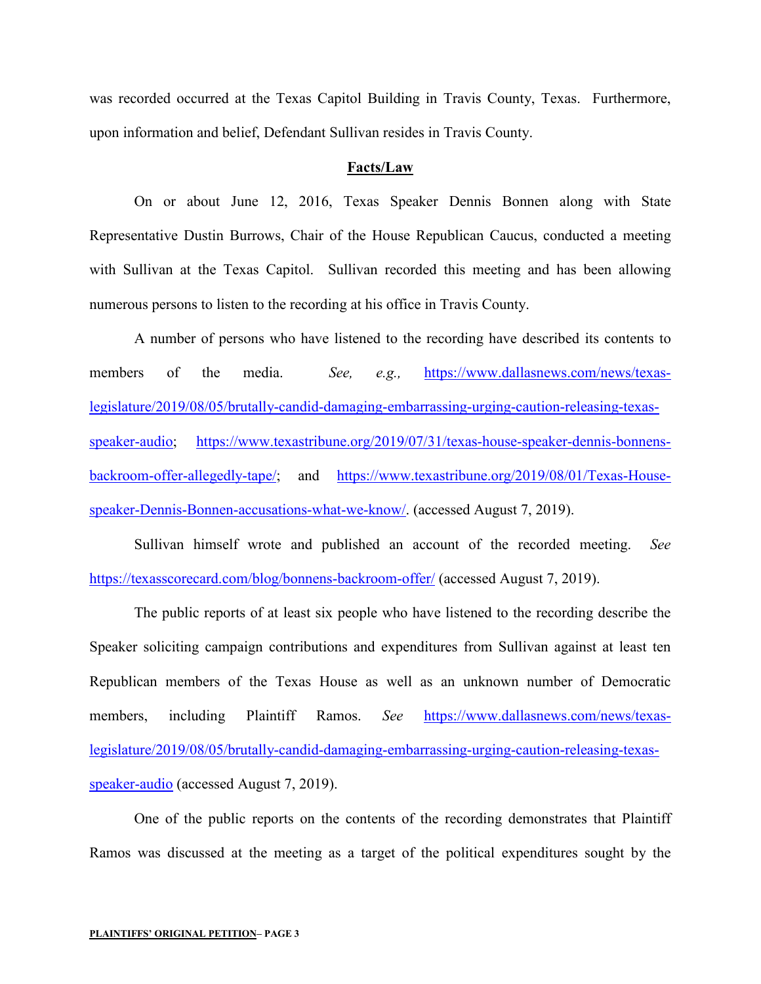was recorded occurred at the Texas Capitol Building in Travis County, Texas. Furthermore, upon information and belief, Defendant Sullivan resides in Travis County.

#### **Facts/Law**

On or about June 12, 2016, Texas Speaker Dennis Bonnen along with State Representative Dustin Burrows, Chair of the House Republican Caucus, conducted a meeting with Sullivan at the Texas Capitol. Sullivan recorded this meeting and has been allowing numerous persons to listen to the recording at his office in Travis County.

A number of persons who have listened to the recording have described its contents to members of the media. *See, e.g.,* [https://www.dallasnews.com/news/texas](https://www.dallasnews.com/news/texas-legislature/2019/08/05/brutally-candid-damaging-embarrassing-urging-caution-releasing-texas-speaker-audio)[legislature/2019/08/05/brutally-candid-damaging-embarrassing-urging-caution-releasing-texas](https://www.dallasnews.com/news/texas-legislature/2019/08/05/brutally-candid-damaging-embarrassing-urging-caution-releasing-texas-speaker-audio)[speaker-audio;](https://www.dallasnews.com/news/texas-legislature/2019/08/05/brutally-candid-damaging-embarrassing-urging-caution-releasing-texas-speaker-audio) [https://www.texastribune.org/2019/07/31/texas-house-speaker-dennis-bonnens](https://www.texastribune.org/2019/07/31/texas-house-speaker-dennis-bonnens-backroom-offer-allegedly-tape/)[backroom-offer-allegedly-tape/;](https://www.texastribune.org/2019/07/31/texas-house-speaker-dennis-bonnens-backroom-offer-allegedly-tape/) and [https://www.texastribune.org/2019/08/01/Texas-House](https://www.texastribune.org/2019/08/01/Texas-House-speaker-Dennis-Bonnen-accusations-what-we-know/)[speaker-Dennis-Bonnen-accusations-what-we-know/.](https://www.texastribune.org/2019/08/01/Texas-House-speaker-Dennis-Bonnen-accusations-what-we-know/) (accessed August 7, 2019).

Sullivan himself wrote and published an account of the recorded meeting. *See*  <https://texasscorecard.com/blog/bonnens-backroom-offer/> (accessed August 7, 2019).

The public reports of at least six people who have listened to the recording describe the Speaker soliciting campaign contributions and expenditures from Sullivan against at least ten Republican members of the Texas House as well as an unknown number of Democratic members, including Plaintiff Ramos. *See* [https://www.dallasnews.com/news/texas](https://www.dallasnews.com/news/texas-legislature/2019/08/05/brutally-candid-damaging-embarrassing-urging-caution-releasing-texas-speaker-audio)[legislature/2019/08/05/brutally-candid-damaging-embarrassing-urging-caution-releasing-texas](https://www.dallasnews.com/news/texas-legislature/2019/08/05/brutally-candid-damaging-embarrassing-urging-caution-releasing-texas-speaker-audio)[speaker-audio](https://www.dallasnews.com/news/texas-legislature/2019/08/05/brutally-candid-damaging-embarrassing-urging-caution-releasing-texas-speaker-audio) (accessed August 7, 2019).

One of the public reports on the contents of the recording demonstrates that Plaintiff Ramos was discussed at the meeting as a target of the political expenditures sought by the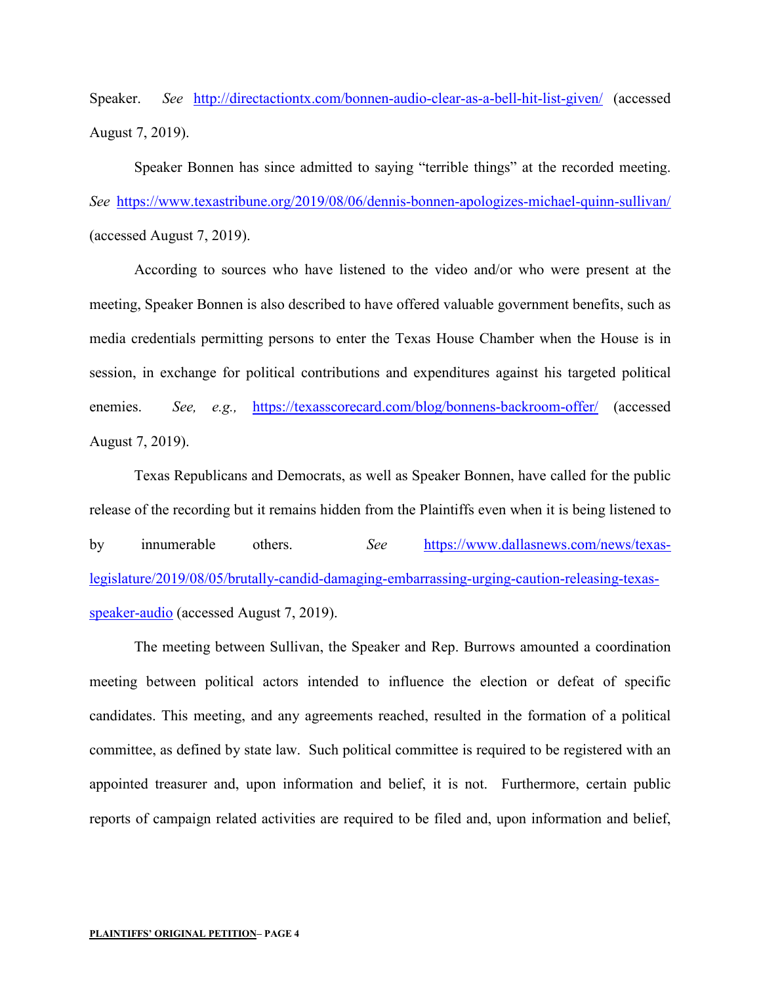Speaker. *See* <http://directactiontx.com/bonnen-audio-clear-as-a-bell-hit-list-given/> (accessed August 7, 2019).

Speaker Bonnen has since admitted to saying "terrible things" at the recorded meeting. *See* <https://www.texastribune.org/2019/08/06/dennis-bonnen-apologizes-michael-quinn-sullivan/> (accessed August 7, 2019).

According to sources who have listened to the video and/or who were present at the meeting, Speaker Bonnen is also described to have offered valuable government benefits, such as media credentials permitting persons to enter the Texas House Chamber when the House is in session, in exchange for political contributions and expenditures against his targeted political enemies. *See, e.g.,* <https://texasscorecard.com/blog/bonnens-backroom-offer/> (accessed August 7, 2019).

Texas Republicans and Democrats, as well as Speaker Bonnen, have called for the public release of the recording but it remains hidden from the Plaintiffs even when it is being listened to by innumerable others. *See* [https://www.dallasnews.com/news/texas](https://www.dallasnews.com/news/texas-legislature/2019/08/05/brutally-candid-damaging-embarrassing-urging-caution-releasing-texas-speaker-audio)[legislature/2019/08/05/brutally-candid-damaging-embarrassing-urging-caution-releasing-texas](https://www.dallasnews.com/news/texas-legislature/2019/08/05/brutally-candid-damaging-embarrassing-urging-caution-releasing-texas-speaker-audio)[speaker-audio](https://www.dallasnews.com/news/texas-legislature/2019/08/05/brutally-candid-damaging-embarrassing-urging-caution-releasing-texas-speaker-audio) (accessed August 7, 2019).

The meeting between Sullivan, the Speaker and Rep. Burrows amounted a coordination meeting between political actors intended to influence the election or defeat of specific candidates. This meeting, and any agreements reached, resulted in the formation of a political committee, as defined by state law. Such political committee is required to be registered with an appointed treasurer and, upon information and belief, it is not. Furthermore, certain public reports of campaign related activities are required to be filed and, upon information and belief,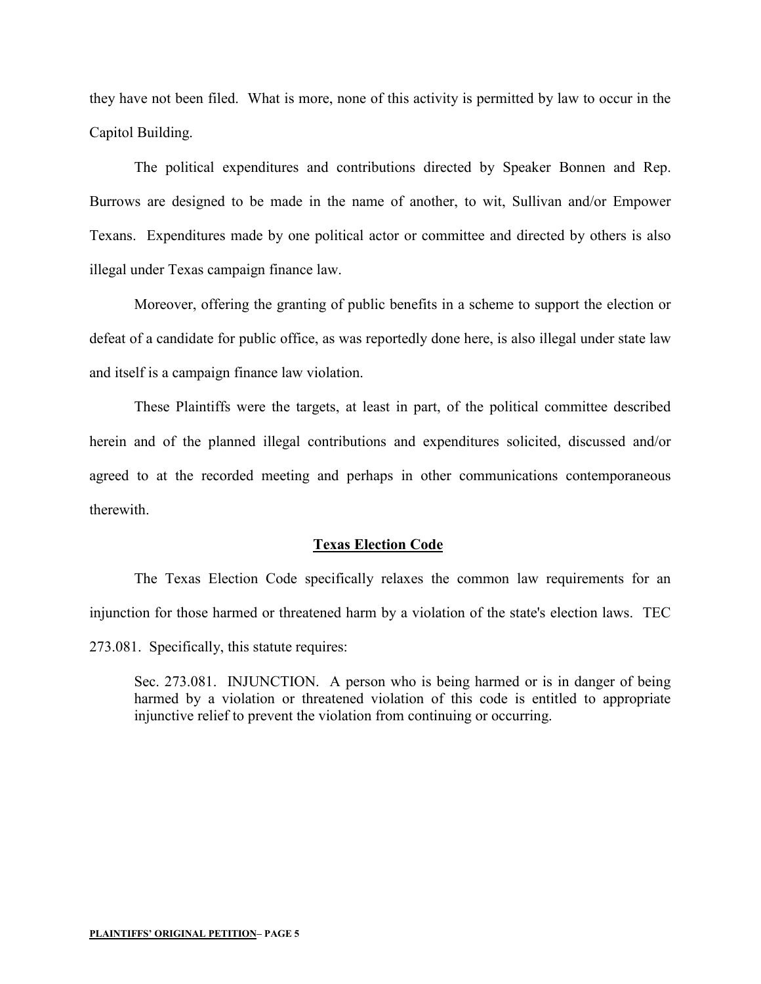they have not been filed. What is more, none of this activity is permitted by law to occur in the Capitol Building.

The political expenditures and contributions directed by Speaker Bonnen and Rep. Burrows are designed to be made in the name of another, to wit, Sullivan and/or Empower Texans. Expenditures made by one political actor or committee and directed by others is also illegal under Texas campaign finance law.

Moreover, offering the granting of public benefits in a scheme to support the election or defeat of a candidate for public office, as was reportedly done here, is also illegal under state law and itself is a campaign finance law violation.

These Plaintiffs were the targets, at least in part, of the political committee described herein and of the planned illegal contributions and expenditures solicited, discussed and/or agreed to at the recorded meeting and perhaps in other communications contemporaneous therewith.

#### **Texas Election Code**

The Texas Election Code specifically relaxes the common law requirements for an injunction for those harmed or threatened harm by a violation of the state's election laws. TEC 273.081. Specifically, this statute requires:

Sec. 273.081. INJUNCTION. A person who is being harmed or is in danger of being harmed by a violation or threatened violation of this code is entitled to appropriate injunctive relief to prevent the violation from continuing or occurring.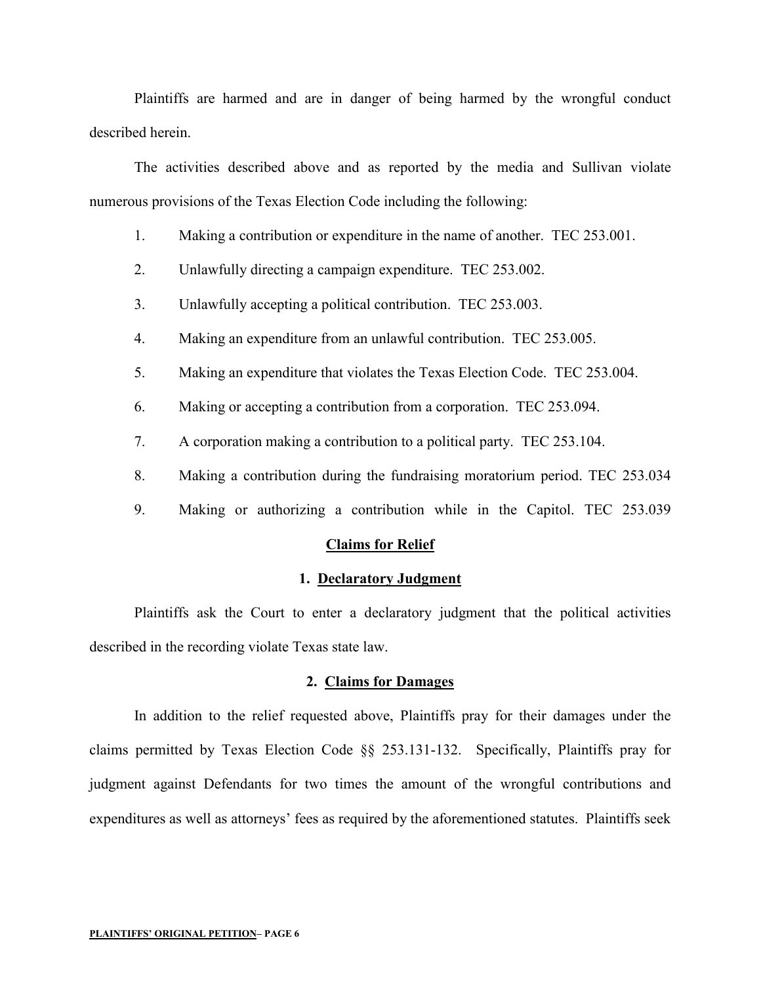Plaintiffs are harmed and are in danger of being harmed by the wrongful conduct described herein.

The activities described above and as reported by the media and Sullivan violate numerous provisions of the Texas Election Code including the following:

- 1. Making a contribution or expenditure in the name of another. TEC 253.001.
- 2. Unlawfully directing a campaign expenditure. TEC 253.002.
- 3. Unlawfully accepting a political contribution. TEC 253.003.
- 4. Making an expenditure from an unlawful contribution. TEC 253.005.
- 5. Making an expenditure that violates the Texas Election Code. TEC 253.004.
- 6. Making or accepting a contribution from a corporation. TEC 253.094.
- 7. A corporation making a contribution to a political party. TEC 253.104.
- 8. Making a contribution during the fundraising moratorium period. TEC 253.034
- 9. Making or authorizing a contribution while in the Capitol. TEC 253.039

#### **Claims for Relief**

#### **1. Declaratory Judgment**

Plaintiffs ask the Court to enter a declaratory judgment that the political activities described in the recording violate Texas state law.

#### **2. Claims for Damages**

In addition to the relief requested above, Plaintiffs pray for their damages under the claims permitted by Texas Election Code §§ 253.131-132. Specifically, Plaintiffs pray for judgment against Defendants for two times the amount of the wrongful contributions and expenditures as well as attorneys' fees as required by the aforementioned statutes. Plaintiffs seek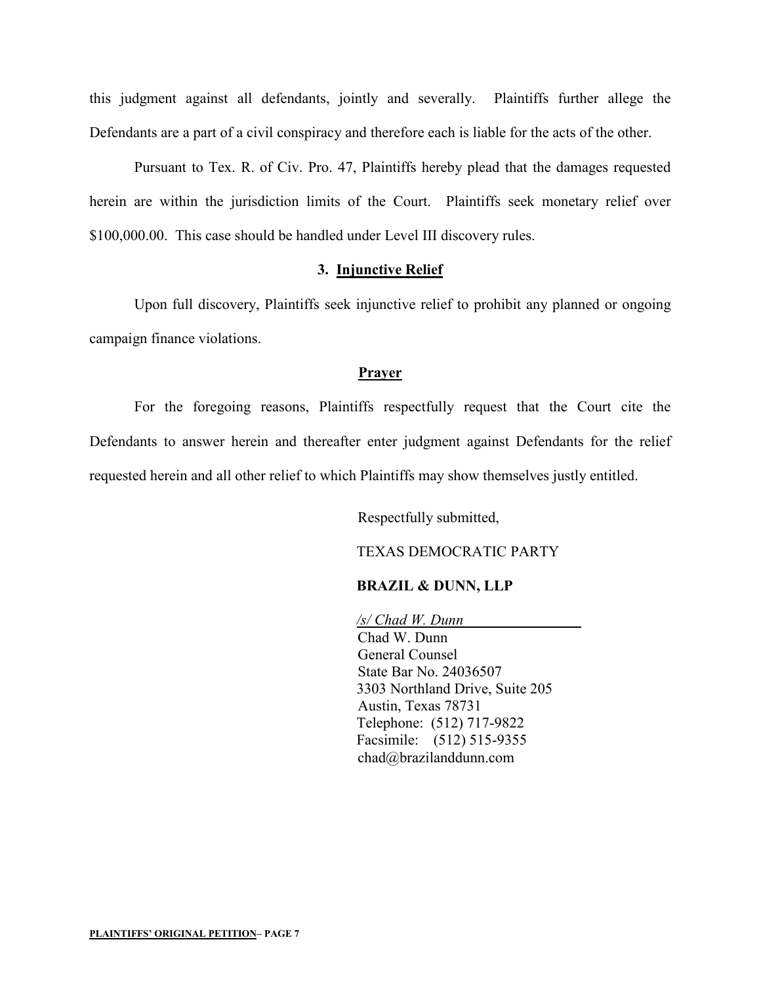this judgment against all defendants, jointly and severally. Plaintiffs further allege the Defendants are a part of a civil conspiracy and therefore each is liable for the acts of the other.

Pursuant to Tex. R. of Civ. Pro. 47, Plaintiffs hereby plead that the damages requested herein are within the jurisdiction limits of the Court. Plaintiffs seek monetary relief over \$100,000.00. This case should be handled under Level III discovery rules.

#### **3. Injunctive Relief**

Upon full discovery, Plaintiffs seek injunctive relief to prohibit any planned or ongoing campaign finance violations.

#### **Prayer**

For the foregoing reasons, Plaintiffs respectfully request that the Court cite the Defendants to answer herein and thereafter enter judgment against Defendants for the relief requested herein and all other relief to which Plaintiffs may show themselves justly entitled.

Respectfully submitted,

TEXAS DEMOCRATIC PARTY

#### **BRAZIL & DUNN, LLP**

*/s/ Chad W. Dunn*  Chad W. Dunn General Counsel State Bar No. 24036507 3303 Northland Drive, Suite 205 Austin, Texas 78731 Telephone: (512) 717-9822 Facsimile: (512) 515-9355 chad@brazilanddunn.com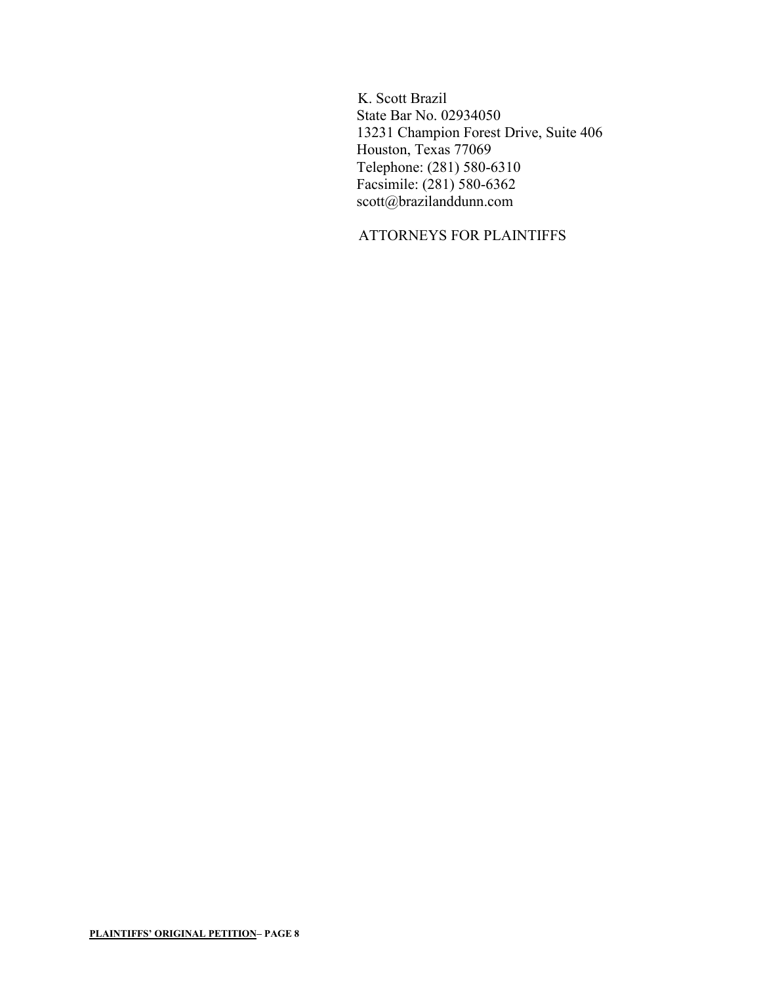K. Scott Brazil State Bar No. 02934050 13231 Champion Forest Drive, Suite 406 Houston, Texas 77069 Telephone: (281) 580-6310 Facsimile: (281) 580-6362 scott@brazilanddunn.com

# ATTORNEYS FOR PLAINTIFFS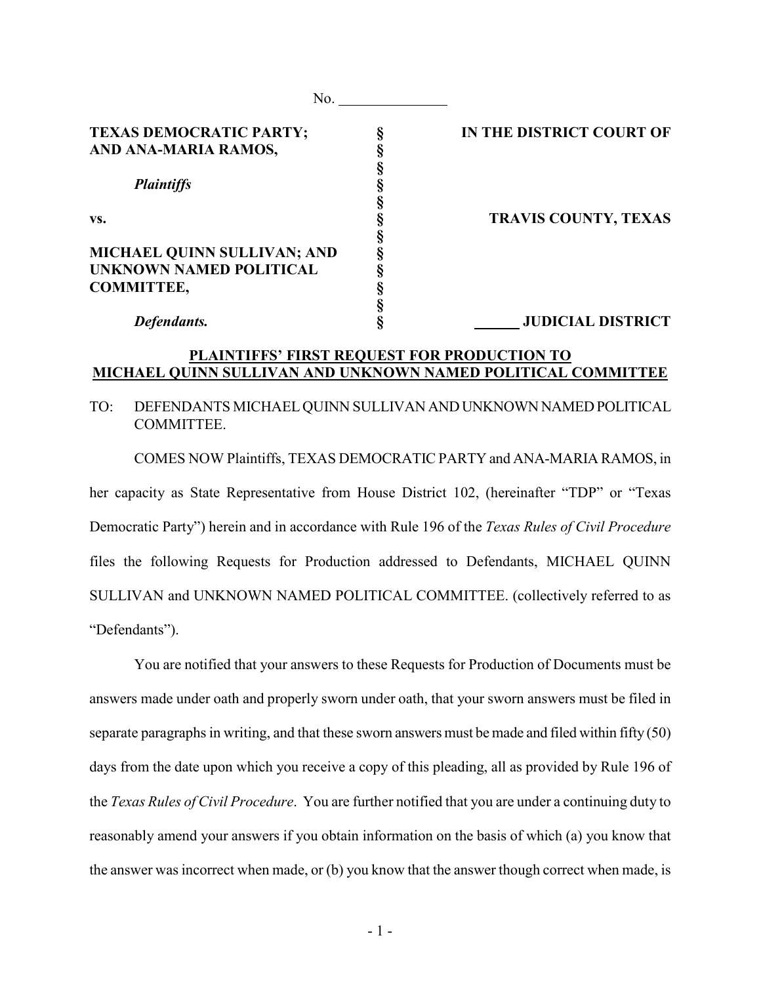| No.                                |                             |
|------------------------------------|-----------------------------|
| TEXAS DEMOCRATIC PARTY;            | IN THE DISTRICT COURT OF    |
| AND ANA-MARIA RAMOS,               |                             |
|                                    |                             |
| <b>Plaintiffs</b>                  |                             |
|                                    |                             |
| VS.                                | <b>TRAVIS COUNTY, TEXAS</b> |
|                                    |                             |
| <b>MICHAEL QUINN SULLIVAN; AND</b> |                             |
| <b>UNKNOWN NAMED POLITICAL</b>     |                             |
| <b>COMMITTEE,</b>                  |                             |
|                                    |                             |
| Defendants.                        | <b>JUDICIAL DISTRICT</b>    |

#### **PLAINTIFFS' FIRST REQUEST FOR PRODUCTION TO MICHAEL QUINN SULLIVAN AND UNKNOWN NAMED POLITICAL COMMITTEE**

#### TO: DEFENDANTS MICHAEL QUINN SULLIVAN AND UNKNOWN NAMED POLITICAL COMMITTEE.

COMES NOW Plaintiffs, TEXAS DEMOCRATIC PARTY and ANA-MARIA RAMOS, in her capacity as State Representative from House District 102, (hereinafter "TDP" or "Texas Democratic Party") herein and in accordance with Rule 196 of the *Texas Rules of Civil Procedure* files the following Requests for Production addressed to Defendants, MICHAEL QUINN SULLIVAN and UNKNOWN NAMED POLITICAL COMMITTEE. (collectively referred to as "Defendants").

You are notified that your answers to these Requests for Production of Documents must be answers made under oath and properly sworn under oath, that your sworn answers must be filed in separate paragraphs in writing, and that these sworn answers must be made and filed within fifty (50) days from the date upon which you receive a copy of this pleading, all as provided by Rule 196 of the *Texas Rules of Civil Procedure*. You are further notified that you are under a continuing duty to reasonably amend your answers if you obtain information on the basis of which (a) you know that the answer was incorrect when made, or (b) you know that the answer though correct when made, is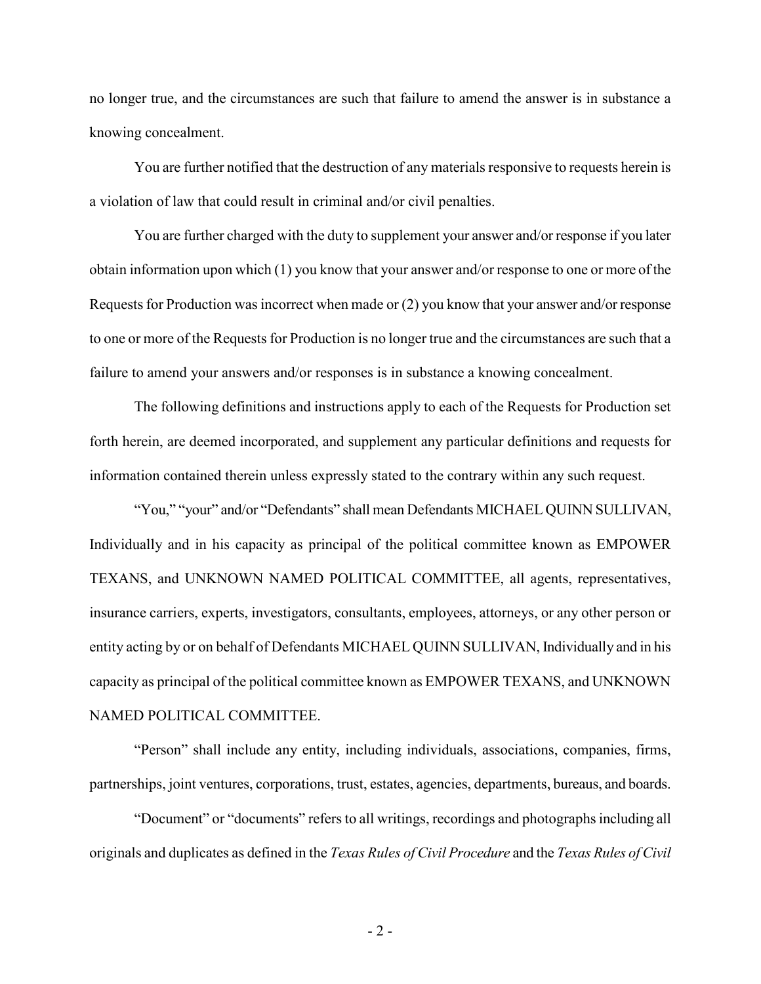no longer true, and the circumstances are such that failure to amend the answer is in substance a knowing concealment.

You are further notified that the destruction of any materials responsive to requests herein is a violation of law that could result in criminal and/or civil penalties.

You are further charged with the duty to supplement your answer and/or response if you later obtain information upon which (1) you know that your answer and/or response to one or more of the Requests for Production was incorrect when made or (2) you know that your answer and/or response to one or more of the Requests for Production is no longer true and the circumstances are such that a failure to amend your answers and/or responses is in substance a knowing concealment.

The following definitions and instructions apply to each of the Requests for Production set forth herein, are deemed incorporated, and supplement any particular definitions and requests for information contained therein unless expressly stated to the contrary within any such request.

"You," "your" and/or "Defendants" shall mean Defendants MICHAEL QUINN SULLIVAN, Individually and in his capacity as principal of the political committee known as EMPOWER TEXANS, and UNKNOWN NAMED POLITICAL COMMITTEE, all agents, representatives, insurance carriers, experts, investigators, consultants, employees, attorneys, or any other person or entity acting by or on behalf of Defendants MICHAEL QUINN SULLIVAN, Individually and in his capacity as principal of the political committee known as EMPOWER TEXANS, and UNKNOWN NAMED POLITICAL COMMITTEE.

"Person" shall include any entity, including individuals, associations, companies, firms, partnerships, joint ventures, corporations, trust, estates, agencies, departments, bureaus, and boards.

"Document" or "documents" refers to all writings, recordings and photographs including all originals and duplicates as defined in the *Texas Rules of Civil Procedure* and the *Texas Rules of Civil*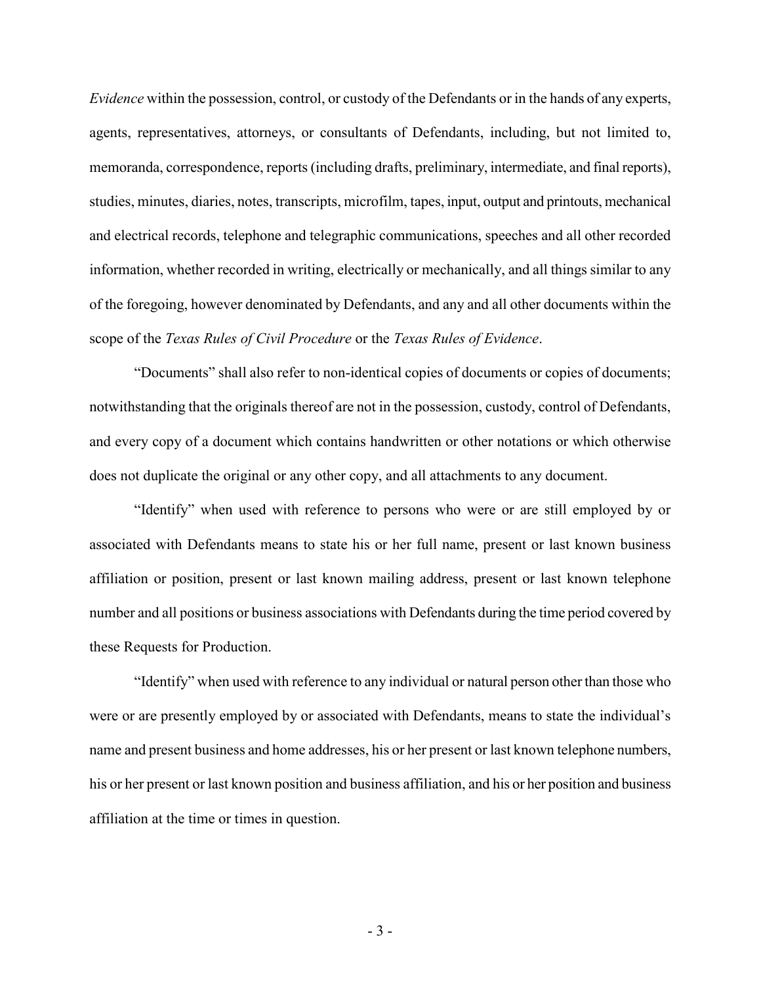*Evidence* within the possession, control, or custody of the Defendants or in the hands of any experts, agents, representatives, attorneys, or consultants of Defendants, including, but not limited to, memoranda, correspondence, reports (including drafts, preliminary, intermediate, and final reports), studies, minutes, diaries, notes, transcripts, microfilm, tapes, input, output and printouts, mechanical and electrical records, telephone and telegraphic communications, speeches and all other recorded information, whether recorded in writing, electrically or mechanically, and all things similar to any of the foregoing, however denominated by Defendants, and any and all other documents within the scope of the *Texas Rules of Civil Procedure* or the *Texas Rules of Evidence*.

"Documents" shall also refer to non-identical copies of documents or copies of documents; notwithstanding that the originals thereof are not in the possession, custody, control of Defendants, and every copy of a document which contains handwritten or other notations or which otherwise does not duplicate the original or any other copy, and all attachments to any document.

"Identify" when used with reference to persons who were or are still employed by or associated with Defendants means to state his or her full name, present or last known business affiliation or position, present or last known mailing address, present or last known telephone number and all positions or business associations with Defendants during the time period covered by these Requests for Production.

"Identify" when used with reference to any individual or natural person other than those who were or are presently employed by or associated with Defendants, means to state the individual's name and present business and home addresses, his or her present or last known telephone numbers, his or her present or last known position and business affiliation, and his or her position and business affiliation at the time or times in question.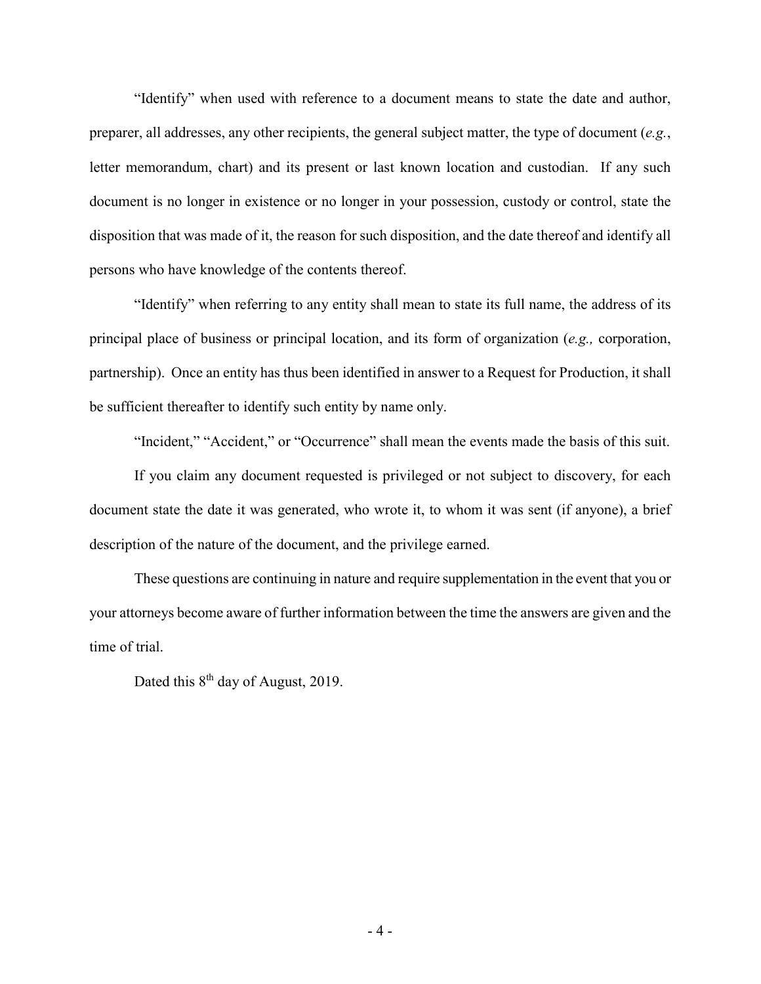"Identify" when used with reference to a document means to state the date and author, preparer, all addresses, any other recipients, the general subject matter, the type of document (*e.g.*, letter memorandum, chart) and its present or last known location and custodian. If any such document is no longer in existence or no longer in your possession, custody or control, state the disposition that was made of it, the reason for such disposition, and the date thereof and identify all persons who have knowledge of the contents thereof.

"Identify" when referring to any entity shall mean to state its full name, the address of its principal place of business or principal location, and its form of organization (*e.g.,* corporation, partnership). Once an entity has thus been identified in answer to a Request for Production, it shall be sufficient thereafter to identify such entity by name only.

"Incident," "Accident," or "Occurrence" shall mean the events made the basis of this suit.

If you claim any document requested is privileged or not subject to discovery, for each document state the date it was generated, who wrote it, to whom it was sent (if anyone), a brief description of the nature of the document, and the privilege earned.

These questions are continuing in nature and require supplementation in the event that you or your attorneys become aware of further information between the time the answers are given and the time of trial.

Dated this  $8<sup>th</sup>$  day of August, 2019.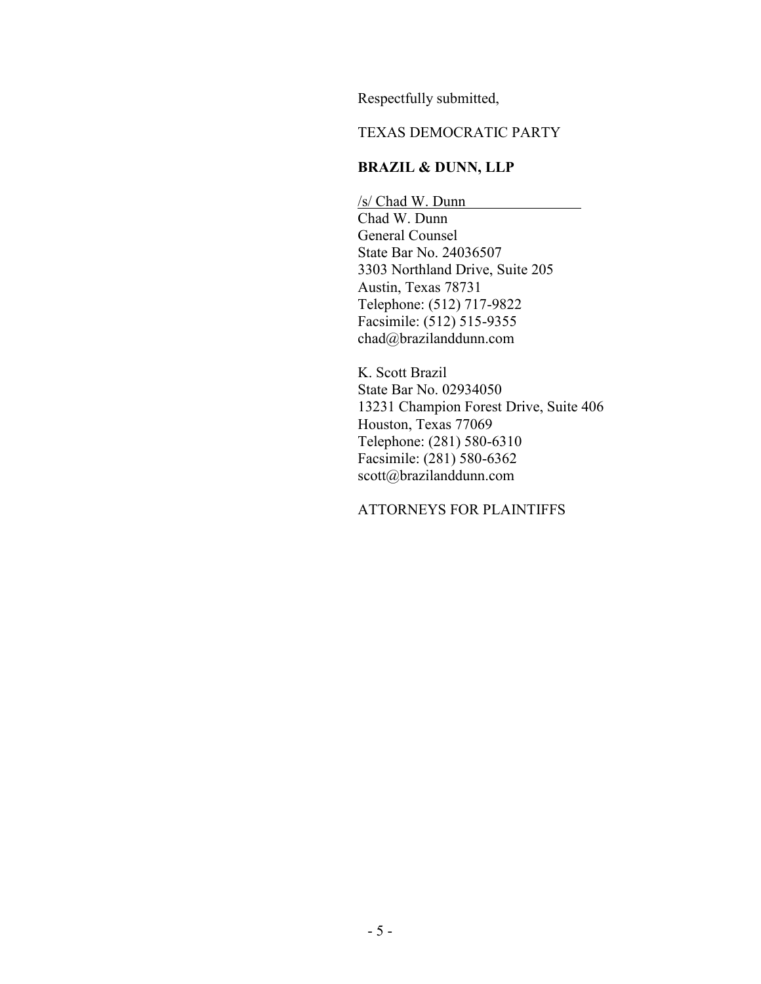Respectfully submitted,

## TEXAS DEMOCRATIC PARTY

# **BRAZIL & DUNN, LLP**

/s/ Chad W. Dunn Chad W. Dunn General Counsel State Bar No. 24036507 3303 Northland Drive, Suite 205 Austin, Texas 78731 Telephone: (512) 717-9822 Facsimile: (512) 515-9355 chad@brazilanddunn.com

K. Scott Brazil State Bar No. 02934050 13231 Champion Forest Drive, Suite 406 Houston, Texas 77069 Telephone: (281) 580-6310 Facsimile: (281) 580-6362 scott@brazilanddunn.com

## ATTORNEYS FOR PLAINTIFFS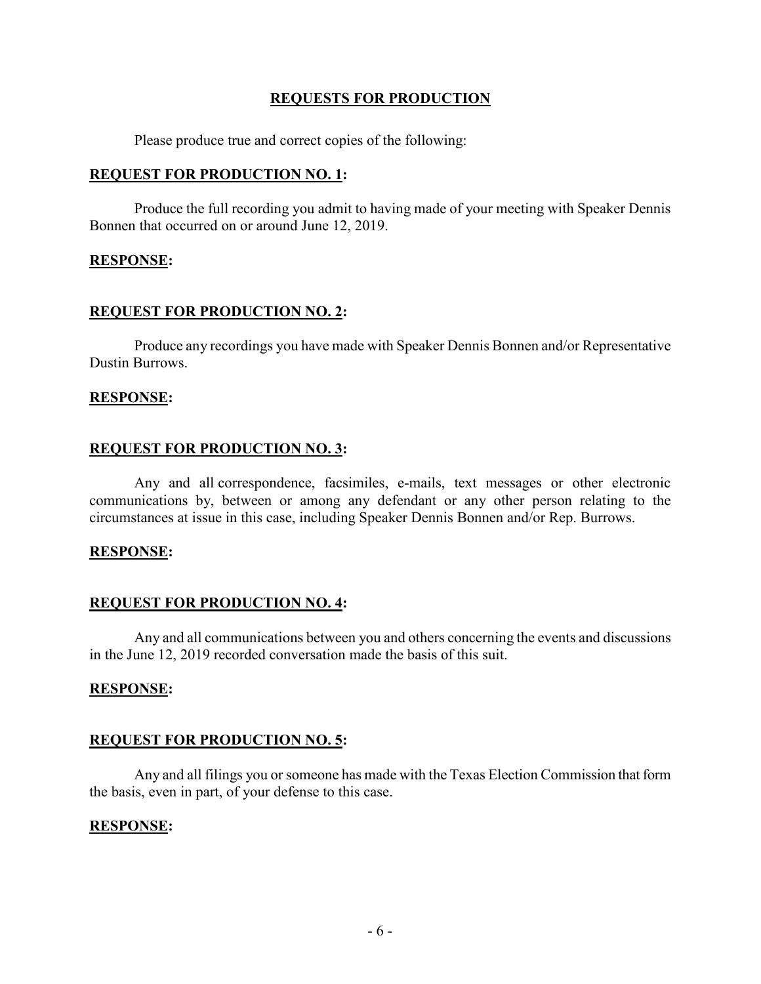## **REQUESTS FOR PRODUCTION**

Please produce true and correct copies of the following:

## **REQUEST FOR PRODUCTION NO. 1:**

Produce the full recording you admit to having made of your meeting with Speaker Dennis Bonnen that occurred on or around June 12, 2019.

### **RESPONSE:**

## **REQUEST FOR PRODUCTION NO. 2:**

Produce any recordings you have made with Speaker Dennis Bonnen and/or Representative Dustin Burrows.

### **RESPONSE:**

### **REQUEST FOR PRODUCTION NO. 3:**

Any and all correspondence, facsimiles, e-mails, text messages or other electronic communications by, between or among any defendant or any other person relating to the circumstances at issue in this case, including Speaker Dennis Bonnen and/or Rep. Burrows.

### **RESPONSE:**

### **REQUEST FOR PRODUCTION NO. 4:**

Any and all communications between you and others concerning the events and discussions in the June 12, 2019 recorded conversation made the basis of this suit.

### **RESPONSE:**

### **REQUEST FOR PRODUCTION NO. 5:**

Any and all filings you or someone has made with the Texas Election Commission that form the basis, even in part, of your defense to this case.

### **RESPONSE:**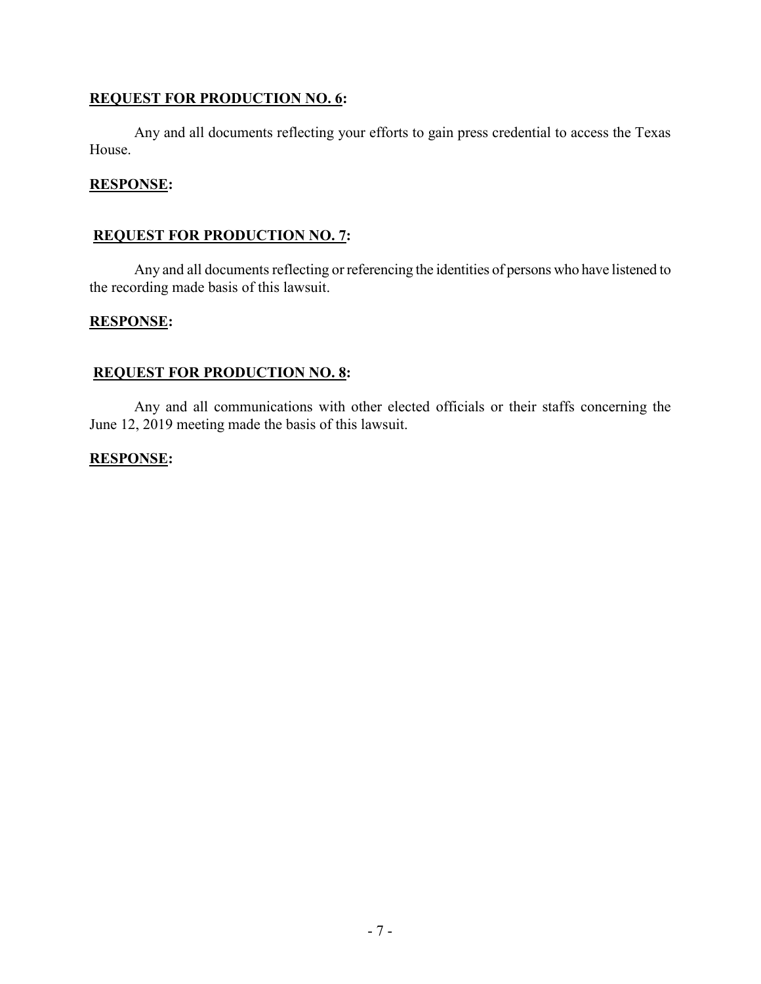# **REQUEST FOR PRODUCTION NO. 6:**

Any and all documents reflecting your efforts to gain press credential to access the Texas House.

## **RESPONSE:**

# **REQUEST FOR PRODUCTION NO. 7:**

Any and all documents reflecting or referencing the identities of persons who have listened to the recording made basis of this lawsuit.

### **RESPONSE:**

## **REQUEST FOR PRODUCTION NO. 8:**

Any and all communications with other elected officials or their staffs concerning the June 12, 2019 meeting made the basis of this lawsuit.

## **RESPONSE:**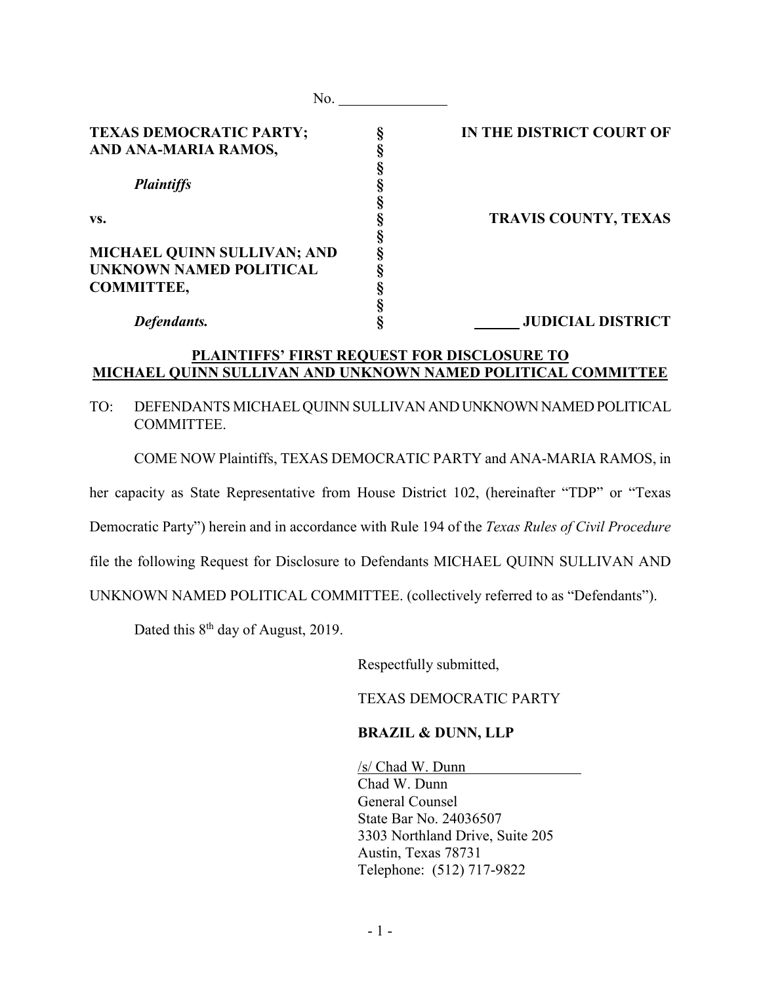| No.                            |                             |
|--------------------------------|-----------------------------|
| <b>TEXAS DEMOCRATIC PARTY;</b> | IN THE DISTRICT COURT OF    |
| AND ANA-MARIA RAMOS,           |                             |
|                                |                             |
| <b>Plaintiffs</b>              |                             |
|                                |                             |
| VS.                            | <b>TRAVIS COUNTY, TEXAS</b> |
|                                |                             |
| MICHAEL QUINN SULLIVAN; AND    |                             |
| <b>UNKNOWN NAMED POLITICAL</b> |                             |
| <b>COMMITTEE,</b>              |                             |
|                                |                             |
| Defendants.                    | <b>JUDICIAL DISTRICT</b>    |

## **PLAINTIFFS' FIRST REQUEST FOR DISCLOSURE TO MICHAEL QUINN SULLIVAN AND UNKNOWN NAMED POLITICAL COMMITTEE**

## TO: DEFENDANTS MICHAEL QUINN SULLIVAN AND UNKNOWN NAMED POLITICAL COMMITTEE.

COME NOW Plaintiffs, TEXAS DEMOCRATIC PARTY and ANA-MARIA RAMOS, in

her capacity as State Representative from House District 102, (hereinafter "TDP" or "Texas

Democratic Party") herein and in accordance with Rule 194 of the *Texas Rules of Civil Procedure*

file the following Request for Disclosure to Defendants MICHAEL QUINN SULLIVAN AND

UNKNOWN NAMED POLITICAL COMMITTEE. (collectively referred to as "Defendants").

Dated this  $8<sup>th</sup>$  day of August, 2019.

Respectfully submitted,

TEXAS DEMOCRATIC PARTY

#### **BRAZIL & DUNN, LLP**

/s/ Chad W. Dunn Chad W. Dunn General Counsel State Bar No. 24036507 3303 Northland Drive, Suite 205 Austin, Texas 78731 Telephone: (512) 717-9822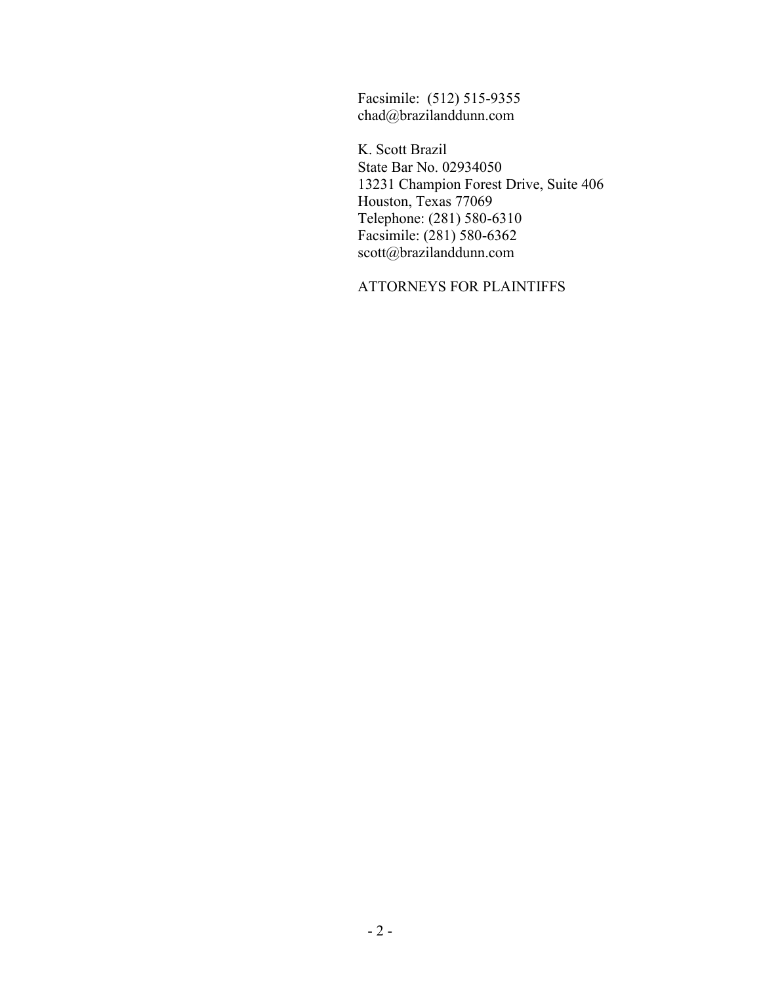Facsimile: (512) 515-9355 chad@brazilanddunn.com

K. Scott Brazil State Bar No. 02934050 13231 Champion Forest Drive, Suite 406 Houston, Texas 77069 Telephone: (281) 580-6310 Facsimile: (281) 580-6362 scott@brazilanddunn.com

ATTORNEYS FOR PLAINTIFFS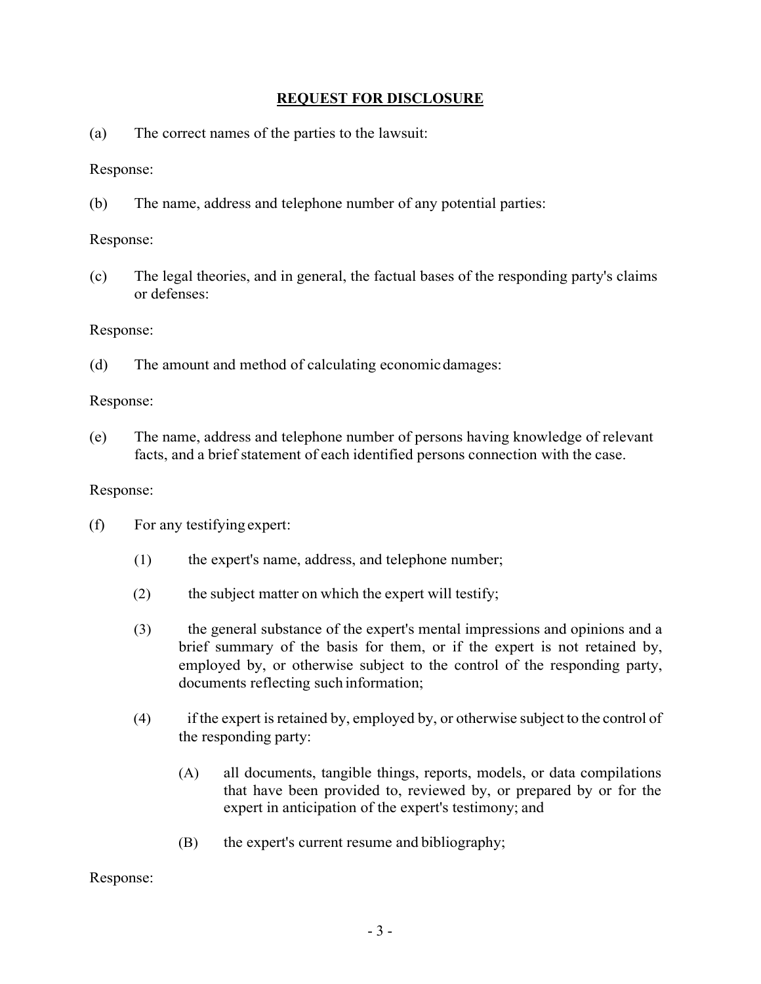# **REQUEST FOR DISCLOSURE**

(a) The correct names of the parties to the lawsuit:

Response:

(b) The name, address and telephone number of any potential parties:

Response:

(c) The legal theories, and in general, the factual bases of the responding party's claims or defenses:

Response:

(d) The amount and method of calculating economicdamages:

Response:

(e) The name, address and telephone number of persons having knowledge of relevant facts, and a brief statement of each identified persons connection with the case.

## Response:

- (f) For any testifying expert:
	- (1) the expert's name, address, and telephone number;
	- (2) the subject matter on which the expert will testify;
	- (3) the general substance of the expert's mental impressions and opinions and a brief summary of the basis for them, or if the expert is not retained by, employed by, or otherwise subject to the control of the responding party, documents reflecting such information;
	- (4) if the expert is retained by, employed by, or otherwise subject to the control of the responding party:
		- (A) all documents, tangible things, reports, models, or data compilations that have been provided to, reviewed by, or prepared by or for the expert in anticipation of the expert's testimony; and
		- (B) the expert's current resume and bibliography;

Response: